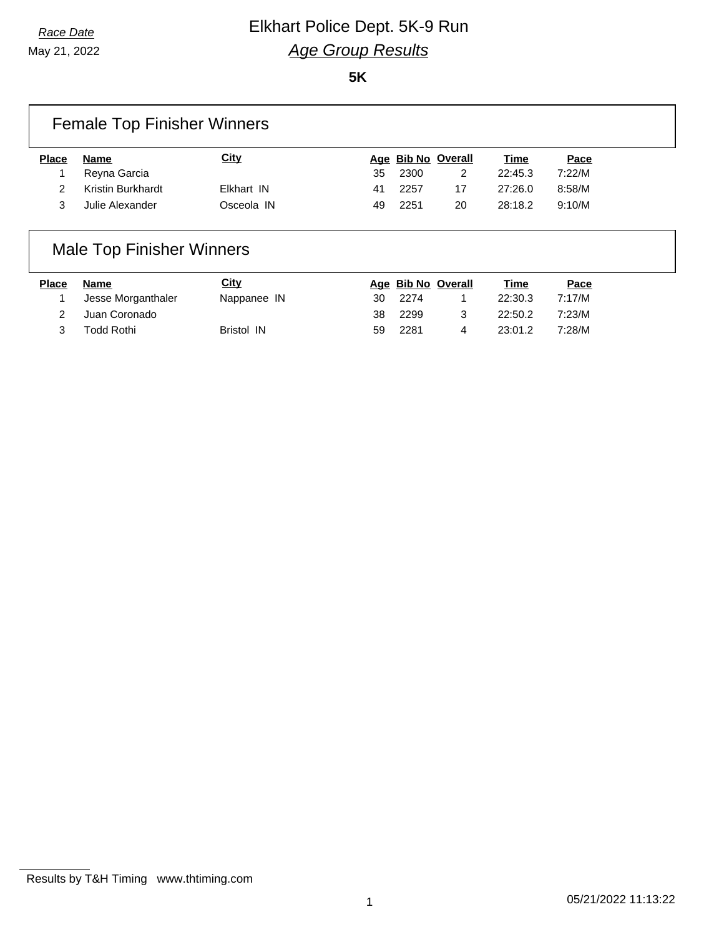May 21, 2022

# *Race Date* **Elkhart Police Dept. 5K-9 Run** *Age Group Results*

**5K**

| <b>Female Top Finisher Winners</b> |                   |             |     |      |                    |         |        |
|------------------------------------|-------------------|-------------|-----|------|--------------------|---------|--------|
| <b>Place</b>                       | Name              | <u>City</u> |     |      | Age Bib No Overall | Time    | Pace   |
|                                    | Reyna Garcia      |             | 35  | 2300 |                    | 22:45.3 | 7:22/M |
|                                    | Kristin Burkhardt | Elkhart IN  | -41 | 2257 | 17                 | 27:26.0 | 8:58/M |
| 3                                  | Julie Alexander   | Osceola IN  | 49  | 2251 | 20                 | 28:18.2 | 9:10/M |

### Male Top Finisher Winners

| Place | Name               | <u>City</u>       |    |      | Age Bib No Overall | <u>Time</u> | Pace   |
|-------|--------------------|-------------------|----|------|--------------------|-------------|--------|
|       | Jesse Morganthaler | Nappanee IN       | 30 | 2274 |                    | 22:30.3     | 7:17/M |
|       | Juan Coronado      |                   | 38 | 2299 |                    | 22:50.2     | 7:23/M |
|       | <b>Todd Rothi</b>  | <b>Bristol IN</b> | 59 | 2281 |                    | 23:01.2     | 7:28/M |

Results by T&H Timing www.thtiming.com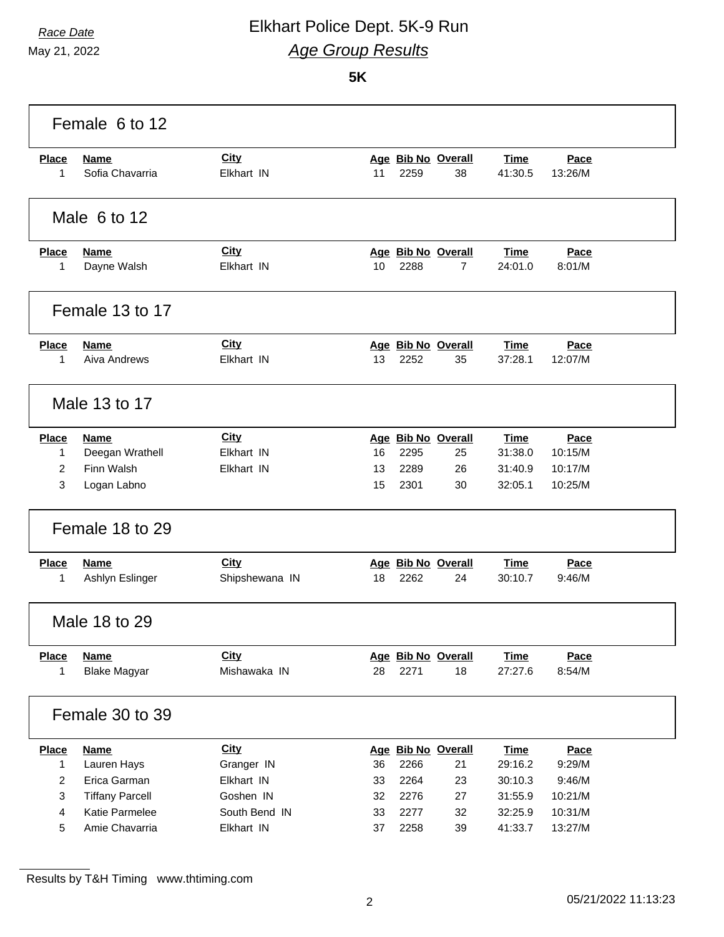### *Race Date* Elkhart Police Dept. 5K-9 Run *Age Group Results*

May 21, 2022

#### **5K**

|                | Female 6 to 12         |                |    |      |                    |             |         |  |
|----------------|------------------------|----------------|----|------|--------------------|-------------|---------|--|
| <b>Place</b>   | <b>Name</b>            | City           |    |      | Age Bib No Overall | <b>Time</b> | Pace    |  |
| 1              | Sofia Chavarria        | Elkhart IN     | 11 | 2259 | 38                 | 41:30.5     | 13:26/M |  |
|                | Male 6 to 12           |                |    |      |                    |             |         |  |
| <b>Place</b>   | <b>Name</b>            | City           |    |      | Age Bib No Overall | <b>Time</b> | Pace    |  |
| 1              | Dayne Walsh            | Elkhart IN     | 10 | 2288 | 7                  | 24:01.0     | 8:01/M  |  |
|                | Female 13 to 17        |                |    |      |                    |             |         |  |
| <b>Place</b>   | <b>Name</b>            | City           |    |      | Age Bib No Overall | <b>Time</b> | Pace    |  |
| 1              | Aiva Andrews           | Elkhart IN     | 13 | 2252 | 35                 | 37:28.1     | 12:07/M |  |
|                | Male 13 to 17          |                |    |      |                    |             |         |  |
| <b>Place</b>   | <b>Name</b>            | City           |    |      | Age Bib No Overall | <b>Time</b> | Pace    |  |
| 1              | Deegan Wrathell        | Elkhart IN     | 16 | 2295 | 25                 | 31:38.0     | 10:15/M |  |
| 2              | Finn Walsh             | Elkhart IN     | 13 | 2289 | 26                 | 31:40.9     | 10:17/M |  |
| 3              | Logan Labno            |                | 15 | 2301 | 30                 | 32:05.1     | 10:25/M |  |
|                | Female 18 to 29        |                |    |      |                    |             |         |  |
| <b>Place</b>   | <b>Name</b>            | City           |    |      | Age Bib No Overall | <b>Time</b> | Pace    |  |
| 1              | Ashlyn Eslinger        | Shipshewana IN | 18 | 2262 | 24                 | 30:10.7     | 9:46/M  |  |
|                | Male 18 to 29          |                |    |      |                    |             |         |  |
| <b>Place</b>   | <b>Name</b>            | <b>City</b>    |    |      | Age Bib No Overall | <b>Time</b> | Pace    |  |
| 1              | <b>Blake Magyar</b>    | Mishawaka IN   | 28 | 2271 | 18                 | 27:27.6     | 8:54/M  |  |
|                | Female 30 to 39        |                |    |      |                    |             |         |  |
| <b>Place</b>   | <b>Name</b>            | <b>City</b>    |    |      | Age Bib No Overall | <b>Time</b> | Pace    |  |
| 1              | Lauren Hays            | Granger IN     | 36 | 2266 | 21                 | 29:16.2     | 9:29/M  |  |
| $\overline{c}$ | Erica Garman           | Elkhart IN     | 33 | 2264 | 23                 | 30:10.3     | 9:46/M  |  |
| 3              | <b>Tiffany Parcell</b> | Goshen IN      | 32 | 2276 | 27                 | 31:55.9     | 10:21/M |  |
| 4              | Katie Parmelee         | South Bend IN  | 33 | 2277 | 32                 | 32:25.9     | 10:31/M |  |
| 5              | Amie Chavarria         | Elkhart IN     | 37 | 2258 | 39                 | 41:33.7     | 13:27/M |  |

Results by T&H Timing www.thtiming.com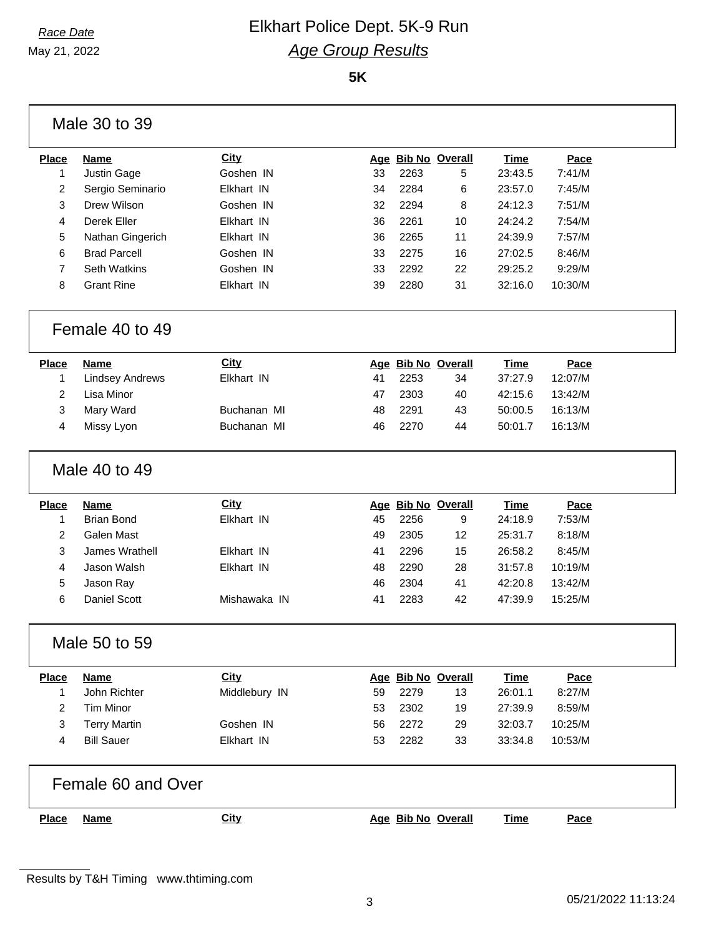May 21, 2022

### *Race Date* Elkhart Police Dept. 5K-9 Run *Age Group Results*

**5K**

|                  | Male 30 to 39          |               |    |      |                    |             |         |
|------------------|------------------------|---------------|----|------|--------------------|-------------|---------|
| <b>Place</b>     | <b>Name</b>            | <b>City</b>   |    |      | Age Bib No Overall | <b>Time</b> | Pace    |
| $\mathbf{1}$     | Justin Gage            | Goshen IN     | 33 | 2263 | 5                  | 23:43.5     | 7:41/M  |
| 2                | Sergio Seminario       | Elkhart IN    | 34 | 2284 | 6                  | 23:57.0     | 7:45/M  |
| 3                | Drew Wilson            | Goshen IN     | 32 | 2294 | 8                  | 24:12.3     | 7:51/M  |
| 4                | Derek Eller            | Elkhart IN    | 36 | 2261 | 10                 | 24:24.2     | 7:54/M  |
| 5                | Nathan Gingerich       | Elkhart IN    | 36 | 2265 | 11                 | 24:39.9     | 7:57/M  |
| 6                | <b>Brad Parcell</b>    | Goshen IN     | 33 | 2275 | 16                 | 27:02.5     | 8:46/M  |
| $\overline{7}$   | <b>Seth Watkins</b>    | Goshen IN     | 33 | 2292 | 22                 | 29:25.2     | 9:29/M  |
| 8                | <b>Grant Rine</b>      | Elkhart IN    | 39 | 2280 | 31                 | 32:16.0     | 10:30/M |
|                  | Female 40 to 49        |               |    |      |                    |             |         |
| <b>Place</b>     | <b>Name</b>            | <b>City</b>   |    |      | Age Bib No Overall | <b>Time</b> | Pace    |
| 1                | <b>Lindsey Andrews</b> | Elkhart IN    | 41 | 2253 | 34                 | 37:27.9     | 12:07/M |
| $\overline{2}$   | Lisa Minor             |               | 47 | 2303 | 40                 | 42:15.6     | 13:42/M |
| 3                | Mary Ward              | Buchanan MI   | 48 | 2291 | 43                 | 50:00.5     | 16:13/M |
| 4                | Missy Lyon             | Buchanan MI   | 46 | 2270 | 44                 | 50:01.7     | 16:13/M |
|                  | Male 40 to 49          |               |    |      |                    |             |         |
| <b>Place</b>     | <b>Name</b>            | <b>City</b>   |    |      | Age Bib No Overall | <b>Time</b> | Pace    |
| $\mathbf 1$      | <b>Brian Bond</b>      | Elkhart IN    | 45 | 2256 | 9                  | 24:18.9     | 7:53/M  |
| $\boldsymbol{2}$ | Galen Mast             |               | 49 | 2305 | 12                 | 25:31.7     | 8:18/M  |
| 3                | James Wrathell         | Elkhart IN    | 41 | 2296 | 15                 | 26:58.2     | 8:45/M  |
| $\overline{4}$   | Jason Walsh            | Elkhart IN    | 48 | 2290 | 28                 | 31:57.8     | 10:19/M |
| 5                | Jason Ray              |               | 46 | 2304 | 41                 | 42:20.8     | 13:42/M |
| 6                | Daniel Scott           | Mishawaka IN  | 41 | 2283 | 42                 | 47:39.9     | 15:25/M |
|                  | Male 50 to 59          |               |    |      |                    |             |         |
| <b>Place</b>     | <b>Name</b>            | <b>City</b>   |    |      | Age Bib No Overall | <b>Time</b> | Pace    |
| 1                | John Richter           | Middlebury IN | 59 | 2279 | 13                 | 26:01.1     | 8:27/M  |
| $\overline{2}$   | <b>Tim Minor</b>       |               | 53 | 2302 | 19                 | 27:39.9     | 8:59/M  |
| 3                | <b>Terry Martin</b>    | Goshen IN     | 56 | 2272 | 29                 | 32:03.7     | 10:25/M |
| 4                | <b>Bill Sauer</b>      | Elkhart IN    | 53 | 2282 | 33                 | 33:34.8     | 10:53/M |
|                  | Female 60 and Over     |               |    |      |                    |             |         |
|                  |                        |               |    |      |                    |             |         |

Results by T&H Timing www.thtiming.com